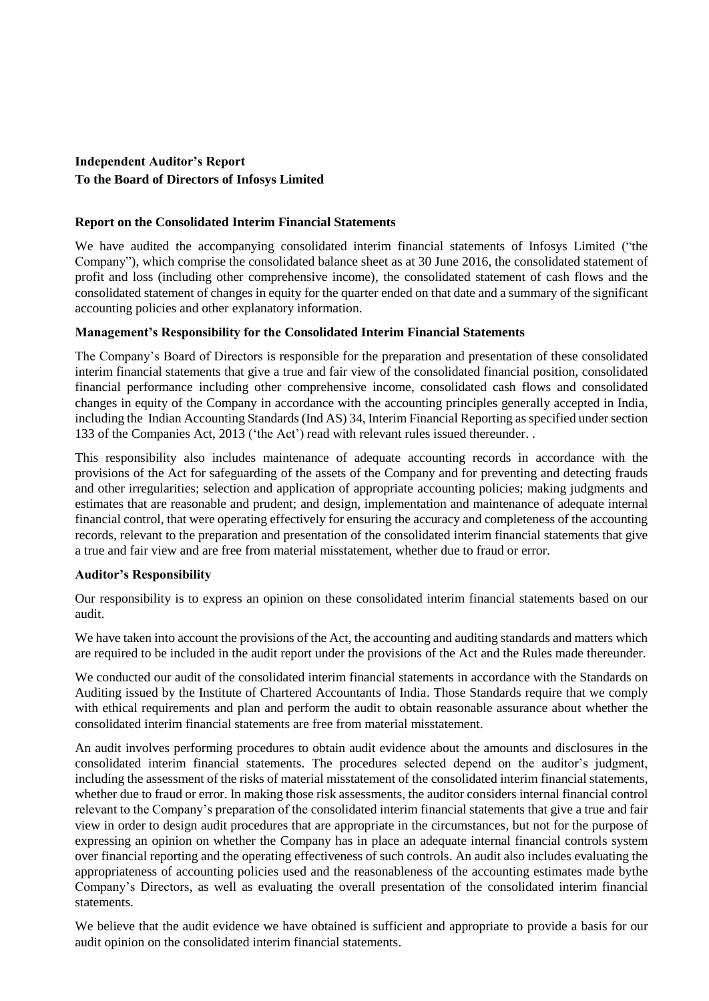# **Independent Auditor's Report To the Board of Directors of Infosys Limited**

### **Report on the Consolidated Interim Financial Statements**

We have audited the accompanying consolidated interim financial statements of Infosys Limited ("the Company"), which comprise the consolidated balance sheet as at 30 June 2016, the consolidated statement of profit and loss (including other comprehensive income), the consolidated statement of cash flows and the consolidated statement of changes in equity for the quarter ended on that date and a summary of the significant accounting policies and other explanatory information.

#### **Management's Responsibility for the Consolidated Interim Financial Statements**

The Company's Board of Directors is responsible for the preparation and presentation of these consolidated interim financial statements that give a true and fair view of the consolidated financial position, consolidated financial performance including other comprehensive income, consolidated cash flows and consolidated changes in equity of the Company in accordance with the accounting principles generally accepted in India, including the Indian Accounting Standards (Ind AS) 34, Interim Financial Reporting as specified under section 133 of the Companies Act, 2013 ('the Act') read with relevant rules issued thereunder. .

This responsibility also includes maintenance of adequate accounting records in accordance with the provisions of the Act for safeguarding of the assets of the Company and for preventing and detecting frauds and other irregularities; selection and application of appropriate accounting policies; making judgments and estimates that are reasonable and prudent; and design, implementation and maintenance of adequate internal financial control, that were operating effectively for ensuring the accuracy and completeness of the accounting records, relevant to the preparation and presentation of the consolidated interim financial statements that give a true and fair view and are free from material misstatement, whether due to fraud or error.

#### **Auditor's Responsibility**

Our responsibility is to express an opinion on these consolidated interim financial statements based on our audit.

We have taken into account the provisions of the Act, the accounting and auditing standards and matters which are required to be included in the audit report under the provisions of the Act and the Rules made thereunder.

We conducted our audit of the consolidated interim financial statements in accordance with the Standards on Auditing issued by the Institute of Chartered Accountants of India. Those Standards require that we comply with ethical requirements and plan and perform the audit to obtain reasonable assurance about whether the consolidated interim financial statements are free from material misstatement.

An audit involves performing procedures to obtain audit evidence about the amounts and disclosures in the consolidated interim financial statements. The procedures selected depend on the auditor's judgment, including the assessment of the risks of material misstatement of the consolidated interim financial statements, whether due to fraud or error. In making those risk assessments, the auditor considers internal financial control relevant to the Company's preparation of the consolidated interim financial statements that give a true and fair view in order to design audit procedures that are appropriate in the circumstances, but not for the purpose of expressing an opinion on whether the Company has in place an adequate internal financial controls system over financial reporting and the operating effectiveness of such controls. An audit also includes evaluating the appropriateness of accounting policies used and the reasonableness of the accounting estimates made bythe Company's Directors, as well as evaluating the overall presentation of the consolidated interim financial statements.

We believe that the audit evidence we have obtained is sufficient and appropriate to provide a basis for our audit opinion on the consolidated interim financial statements.